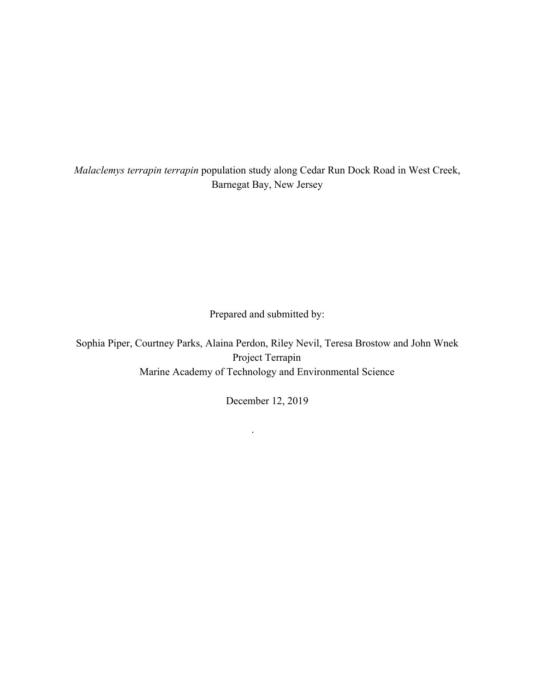*Malaclemys terrapin terrapin* population study along Cedar Run Dock Road in West Creek, Barnegat Bay, New Jersey

Prepared and submitted by:

Sophia Piper, Courtney Parks, Alaina Perdon, Riley Nevil, Teresa Brostow and John Wnek Project Terrapin Marine Academy of Technology and Environmental Science

December 12, 2019

.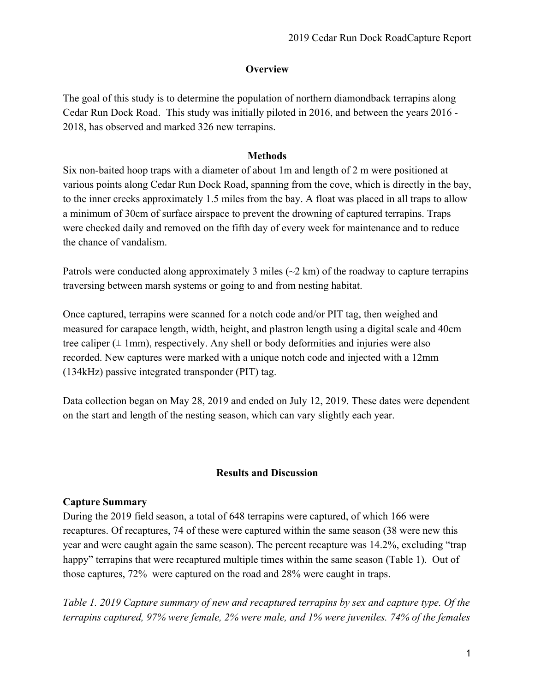## **Overview**

The goal of this study is to determine the population of northern diamondback terrapins along Cedar Run Dock Road. This study was initially piloted in 2016, and between the years 2016 - 2018, has observed and marked 326 new terrapins.

### **Methods**

Six non-baited hoop traps with a diameter of about 1m and length of 2 m were positioned at various points along Cedar Run Dock Road, spanning from the cove, which is directly in the bay, to the inner creeks approximately 1.5 miles from the bay. A float was placed in all traps to allow a minimum of 30cm of surface airspace to prevent the drowning of captured terrapins. Traps were checked daily and removed on the fifth day of every week for maintenance and to reduce the chance of vandalism.

Patrols were conducted along approximately 3 miles ( $\sim$ 2 km) of the roadway to capture terrapins traversing between marsh systems or going to and from nesting habitat.

Once captured, terrapins were scanned for a notch code and/or PIT tag, then weighed and measured for carapace length, width, height, and plastron length using a digital scale and 40cm tree caliper  $(\pm 1$ mm), respectively. Any shell or body deformities and injuries were also recorded. New captures were marked with a unique notch code and injected with a 12mm (134kHz) passive integrated transponder (PIT) tag.

Data collection began on May 28, 2019 and ended on July 12, 2019. These dates were dependent on the start and length of the nesting season, which can vary slightly each year.

# **Results and Discussion**

### **Capture Summary**

During the 2019 field season, a total of 648 terrapins were captured, of which 166 were recaptures. Of recaptures, 74 of these were captured within the same season (38 were new this year and were caught again the same season). The percent recapture was 14.2%, excluding "trap happy" terrapins that were recaptured multiple times within the same season (Table 1). Out of those captures, 72% were captured on the road and 28% were caught in traps.

*Table 1. 2019 Capture summary of new and recaptured terrapins by sex and capture type. Of the terrapins captured, 97% were female, 2% were male, and 1% were juveniles. 74% of the females*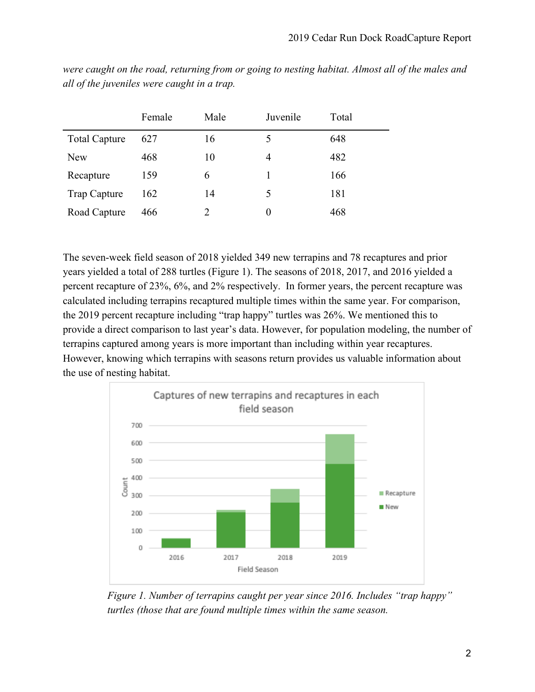|                      | Female | Male | Juvenile | Total |
|----------------------|--------|------|----------|-------|
| <b>Total Capture</b> | 627    | 16   |          | 648   |
| <b>New</b>           | 468    | 10   | 4        | 482   |
| Recapture            | 159    | 6    |          | 166   |
| <b>Trap Capture</b>  | 162    | 14   | $\Delta$ | 181   |
| Road Capture         | 466    |      | $\theta$ | 468   |

*were caught on the road, returning from or going to nesting habitat. Almost all of the males and all of the juveniles were caught in a trap.*

The seven-week field season of 2018 yielded 349 new terrapins and 78 recaptures and prior years yielded a total of 288 turtles (Figure 1). The seasons of 2018, 2017, and 2016 yielded a percent recapture of 23%, 6%, and 2% respectively. In former years, the percent recapture was calculated including terrapins recaptured multiple times within the same year. For comparison, the 2019 percent recapture including "trap happy" turtles was 26%. We mentioned this to provide a direct comparison to last year's data. However, for population modeling, the number of terrapins captured among years is more important than including within year recaptures. However, knowing which terrapins with seasons return provides us valuable information about the use of nesting habitat.



 *Figure 1. Number of terrapins caught per year since 2016. Includes "trap happy" turtles (those that are found multiple times within the same season.*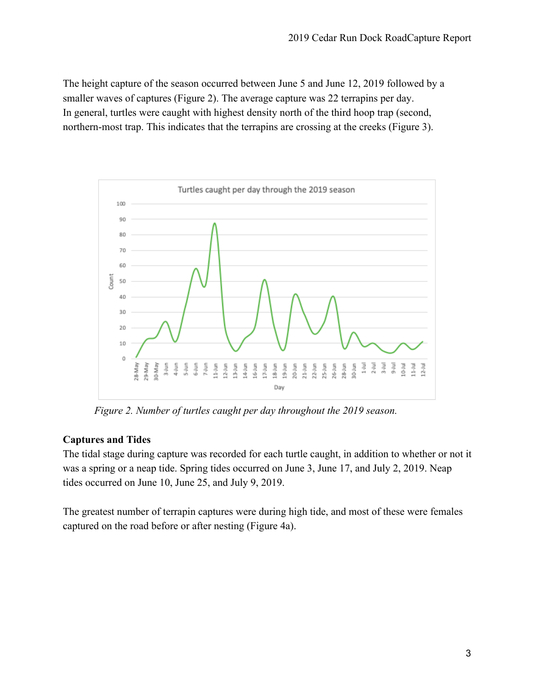The height capture of the season occurred between June 5 and June 12, 2019 followed by a smaller waves of captures (Figure 2). The average capture was 22 terrapins per day. In general, turtles were caught with highest density north of the third hoop trap (second, northern-most trap. This indicates that the terrapins are crossing at the creeks (Figure 3).



*Figure 2. Number of turtles caught per day throughout the 2019 season.*

# **Captures and Tides**

The tidal stage during capture was recorded for each turtle caught, in addition to whether or not it was a spring or a neap tide. Spring tides occurred on June 3, June 17, and July 2, 2019. Neap tides occurred on June 10, June 25, and July 9, 2019.

The greatest number of terrapin captures were during high tide, and most of these were females captured on the road before or after nesting (Figure 4a).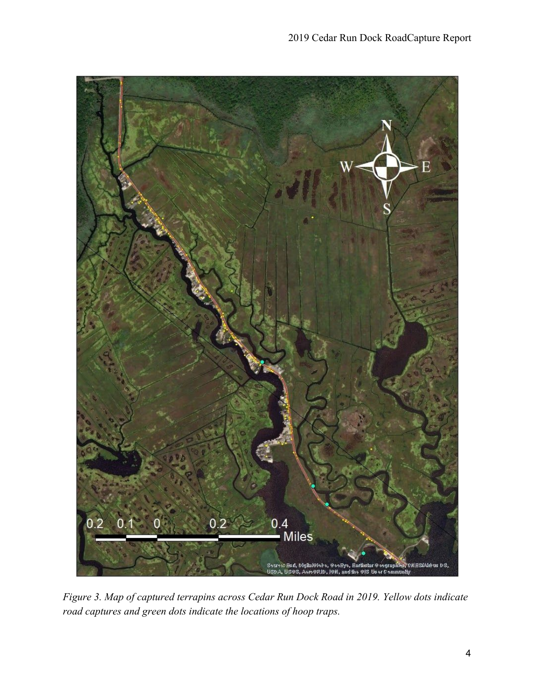

*Figure 3. Map of captured terrapins across Cedar Run Dock Road in 2019. Yellow dots indicate road captures and green dots indicate the locations of hoop traps.*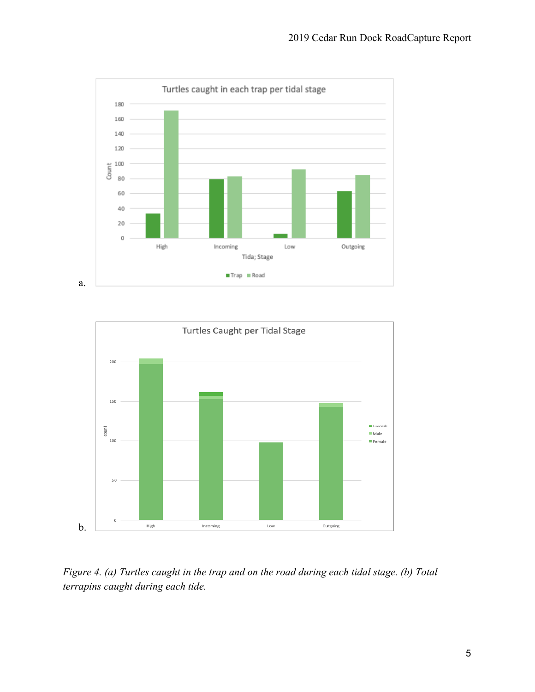



*Figure 4. (a) Turtles caught in the trap and on the road during each tidal stage. (b) Total terrapins caught during each tide.*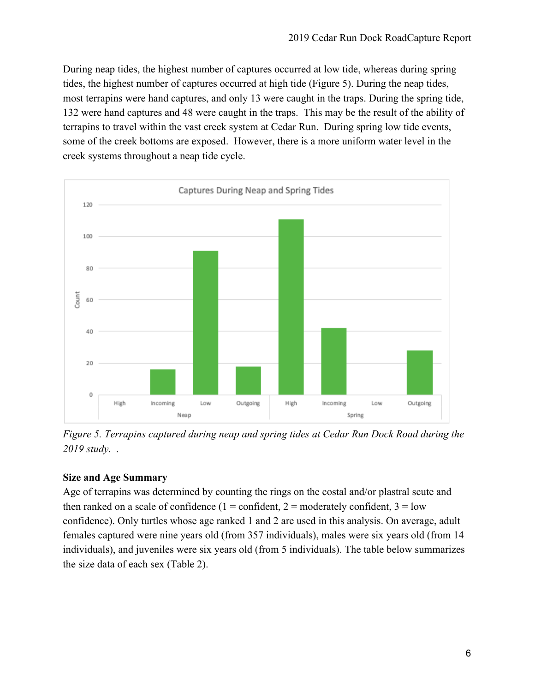During neap tides, the highest number of captures occurred at low tide, whereas during spring tides, the highest number of captures occurred at high tide (Figure 5). During the neap tides, most terrapins were hand captures, and only 13 were caught in the traps. During the spring tide, 132 were hand captures and 48 were caught in the traps. This may be the result of the ability of terrapins to travel within the vast creek system at Cedar Run. During spring low tide events, some of the creek bottoms are exposed. However, there is a more uniform water level in the creek systems throughout a neap tide cycle.



*Figure 5. Terrapins captured during neap and spring tides at Cedar Run Dock Road during the 2019 study. .*

# **Size and Age Summary**

Age of terrapins was determined by counting the rings on the costal and/or plastral scute and then ranked on a scale of confidence  $(1 = \text{confident}, 2 = \text{moderately confident}, 3 = \text{low}$ confidence). Only turtles whose age ranked 1 and 2 are used in this analysis. On average, adult females captured were nine years old (from 357 individuals), males were six years old (from 14 individuals), and juveniles were six years old (from 5 individuals). The table below summarizes the size data of each sex (Table 2).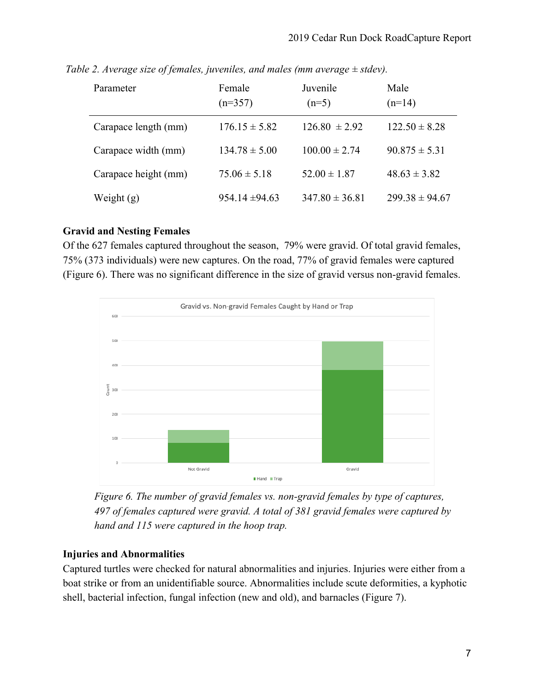| Parameter            | Female<br>$(n=357)$ | Juvenile<br>$(n=5)$ | Male<br>$(n=14)$   |
|----------------------|---------------------|---------------------|--------------------|
| Carapace length (mm) | $176.15 \pm 5.82$   | $126.80 \pm 2.92$   | $122.50 \pm 8.28$  |
| Carapace width (mm)  | $134.78 \pm 5.00$   | $100.00 \pm 2.74$   | $90.875 \pm 5.31$  |
| Carapace height (mm) | $75.06 \pm 5.18$    | $52.00 \pm 1.87$    | $48.63 \pm 3.82$   |
| Weight $(g)$         | $954.14 \pm 94.63$  | $347.80 \pm 36.81$  | $299.38 \pm 94.67$ |

 *Table 2. Average size of females, juveniles, and males (mm average ± stdev).*

### **Gravid and Nesting Females**

Of the 627 females captured throughout the season, 79% were gravid. Of total gravid females, 75% (373 individuals) were new captures. On the road, 77% of gravid females were captured (Figure 6). There was no significant difference in the size of gravid versus non-gravid females.



*Figure 6. The number of gravid females vs. non-gravid females by type of captures, 497 of females captured were gravid. A total of 381 gravid females were captured by hand and 115 were captured in the hoop trap.*

# **Injuries and Abnormalities**

Captured turtles were checked for natural abnormalities and injuries. Injuries were either from a boat strike or from an unidentifiable source. Abnormalities include scute deformities, a kyphotic shell, bacterial infection, fungal infection (new and old), and barnacles (Figure 7).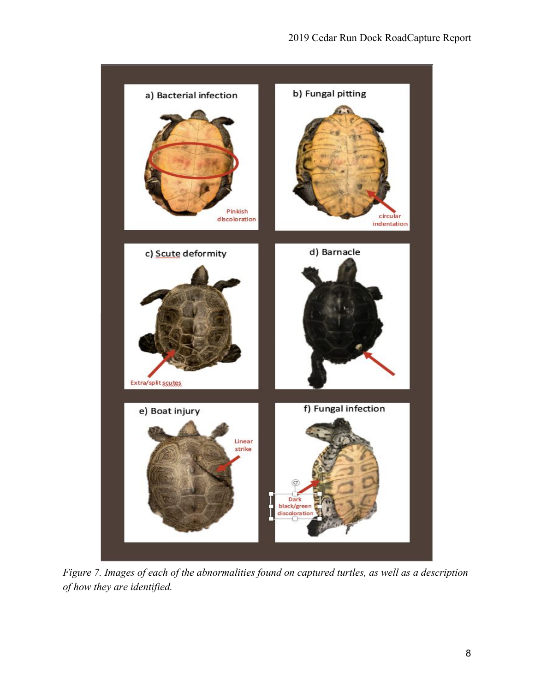

*Figure 7. Images of each of the abnormalities found on captured turtles, as well as a description of how they are identified.*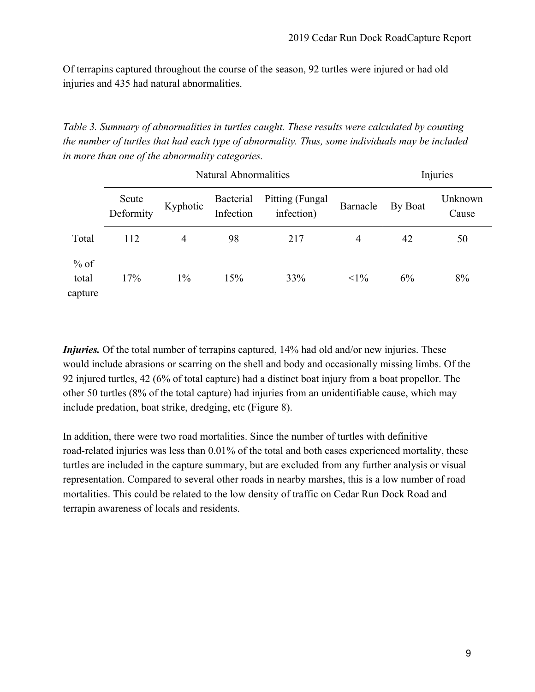Of terrapins captured throughout the course of the season, 92 turtles were injured or had old injuries and 435 had natural abnormalities.

*Table 3. Summary of abnormalities in turtles caught. These results were calculated by counting the number of turtles that had each type of abnormality. Thus, some individuals may be included in more than one of the abnormality categories.*

|                            | <b>Natural Abnormalities</b> |          |                        |                               |                | Injuries |                  |
|----------------------------|------------------------------|----------|------------------------|-------------------------------|----------------|----------|------------------|
|                            | Scute<br>Deformity           | Kyphotic | Bacterial<br>Infection | Pitting (Fungal<br>infection) | Barnacle       | By Boat  | Unknown<br>Cause |
| Total                      | 112                          | 4        | 98                     | 217                           | $\overline{4}$ | 42       | 50               |
| $%$ of<br>total<br>capture | 17%                          | $1\%$    | 15%                    | 33%                           | $<1\%$         | 6%       | 8%               |

*Injuries.* Of the total number of terrapins captured, 14% had old and/or new injuries. These would include abrasions or scarring on the shell and body and occasionally missing limbs. Of the 92 injured turtles, 42 (6% of total capture) had a distinct boat injury from a boat propellor. The other 50 turtles (8% of the total capture) had injuries from an unidentifiable cause, which may include predation, boat strike, dredging, etc (Figure 8).

In addition, there were two road mortalities. Since the number of turtles with definitive road-related injuries was less than 0.01% of the total and both cases experienced mortality, these turtles are included in the capture summary, but are excluded from any further analysis or visual representation. Compared to several other roads in nearby marshes, this is a low number of road mortalities. This could be related to the low density of traffic on Cedar Run Dock Road and terrapin awareness of locals and residents.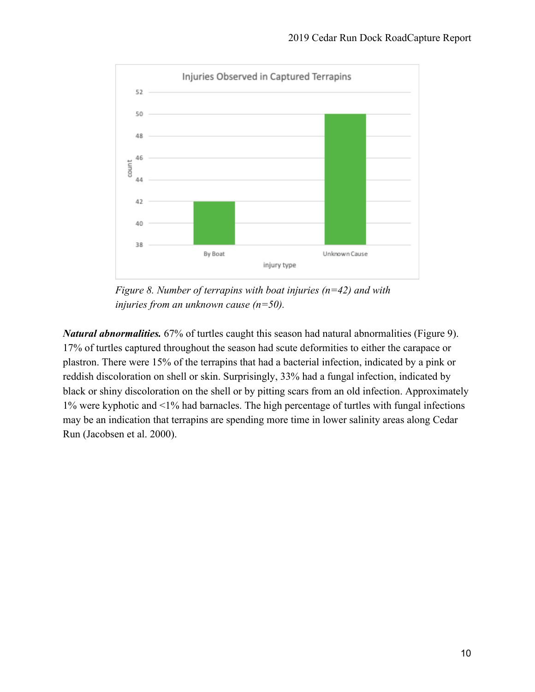

 *Figure 8. Number of terrapins with boat injuries (n=42) and with injuries from an unknown cause (n=50).*

*Natural abnormalities.* 67% of turtles caught this season had natural abnormalities (Figure 9). 17% of turtles captured throughout the season had scute deformities to either the carapace or plastron. There were 15% of the terrapins that had a bacterial infection, indicated by a pink or reddish discoloration on shell or skin. Surprisingly, 33% had a fungal infection, indicated by black or shiny discoloration on the shell or by pitting scars from an old infection. Approximately 1% were kyphotic and <1% had barnacles. The high percentage of turtles with fungal infections may be an indication that terrapins are spending more time in lower salinity areas along Cedar Run (Jacobsen et al. 2000).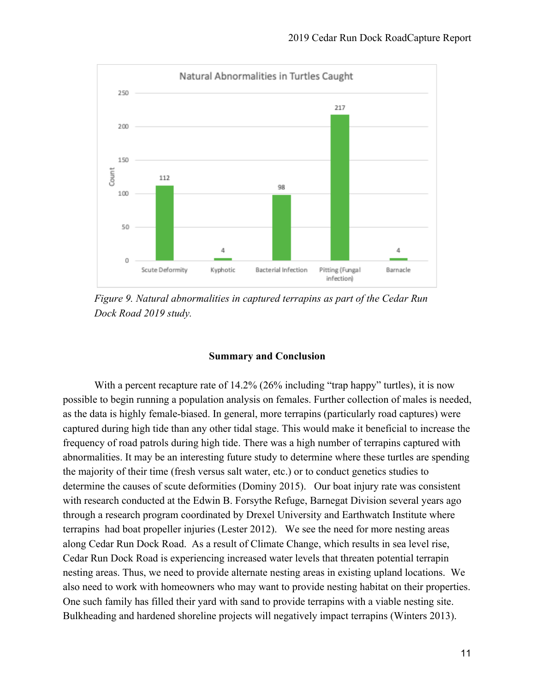

*Figure 9. Natural abnormalities in captured terrapins as part of the Cedar Run Dock Road 2019 study.*

#### **Summary and Conclusion**

With a percent recapture rate of 14.2% (26% including "trap happy" turtles), it is now possible to begin running a population analysis on females. Further collection of males is needed, as the data is highly female-biased. In general, more terrapins (particularly road captures) were captured during high tide than any other tidal stage. This would make it beneficial to increase the frequency of road patrols during high tide. There was a high number of terrapins captured with abnormalities. It may be an interesting future study to determine where these turtles are spending the majority of their time (fresh versus salt water, etc.) or to conduct genetics studies to determine the causes of scute deformities (Dominy 2015). Our boat injury rate was consistent with research conducted at the Edwin B. Forsythe Refuge, Barnegat Division several years ago through a research program coordinated by Drexel University and Earthwatch Institute where terrapins had boat propeller injuries (Lester 2012). We see the need for more nesting areas along Cedar Run Dock Road. As a result of Climate Change, which results in sea level rise, Cedar Run Dock Road is experiencing increased water levels that threaten potential terrapin nesting areas. Thus, we need to provide alternate nesting areas in existing upland locations. We also need to work with homeowners who may want to provide nesting habitat on their properties. One such family has filled their yard with sand to provide terrapins with a viable nesting site. Bulkheading and hardened shoreline projects will negatively impact terrapins (Winters 2013).